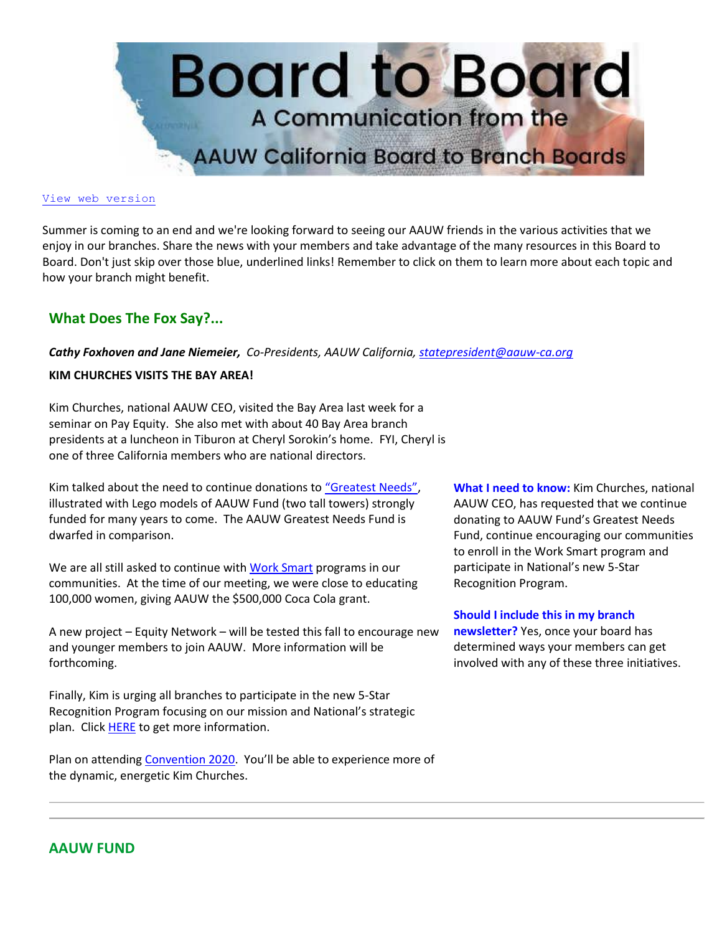

#### [View web version](https://bor.aauw-ca.org/sendy/w/YlrJ763AeyF892b51vFm0EptRw/4FDFL4S593H7oWC6rDwDxg/fyEHDZSJcBk8fwh9mQqMHQ)

Summer is coming to an end and we're looking forward to seeing our AAUW friends in the various activities that we enjoy in our branches. Share the news with your members and take advantage of the many resources in this Board to Board. Don't just skip over those blue, underlined links! Remember to click on them to learn more about each topic and how your branch might benefit.

# **What Does The Fox Say?...**

*Cathy Foxhoven and Jane Niemeier, Co-Presidents, AAUW California[, statepresident@aauw-ca.org](mailto:statepresident@aauw-ca.org)*

## **KIM CHURCHES VISITS THE BAY AREA!**

Kim Churches, national AAUW CEO, visited the Bay Area last week for a seminar on Pay Equity. She also met with about 40 Bay Area branch presidents at a luncheon in Tiburon at Cheryl Sorokin's home. FYI, Cheryl is one of three California members who are national directors.

Kim talked about the need to continue donations to ["Greatest Needs"](https://bor.aauw-ca.org/sendy/l/YlrJ763AeyF892b51vFm0EptRw/kwzXI6ppnlsUdW1qx7ey3g/fyEHDZSJcBk8fwh9mQqMHQ), illustrated with Lego models of AAUW Fund (two tall towers) strongly funded for many years to come. The AAUW Greatest Needs Fund is dwarfed in comparison.

We are all still asked to continue wit[h Work Smart](https://bor.aauw-ca.org/sendy/l/YlrJ763AeyF892b51vFm0EptRw/2DLI892aK8i763d6l1f8892e90xw/fyEHDZSJcBk8fwh9mQqMHQ) programs in our communities. At the time of our meeting, we were close to educating 100,000 women, giving AAUW the \$500,000 Coca Cola grant.

A new project – Equity Network – will be tested this fall to encourage new and younger members to join AAUW. More information will be forthcoming.

Finally, Kim is urging all branches to participate in the new 5-Star Recognition Program focusing on our mission and National's strategic plan. Clic[k HERE](https://bor.aauw-ca.org/sendy/l/YlrJ763AeyF892b51vFm0EptRw/BUVIGNjQhw5Lmr3sCbtBbQ/fyEHDZSJcBk8fwh9mQqMHQ) to get more information.

Plan on attending [Convention 2020.](https://bor.aauw-ca.org/sendy/l/YlrJ763AeyF892b51vFm0EptRw/A7KlsoDt9euokVlEhFTtaw/fyEHDZSJcBk8fwh9mQqMHQ) You'll be able to experience more of the dynamic, energetic Kim Churches.

**What I need to know:** Kim Churches, national AAUW CEO, has requested that we continue donating to AAUW Fund's Greatest Needs Fund, continue encouraging our communities to enroll in the Work Smart program and participate in National's new 5-Star Recognition Program.

**Should I include this in my branch** 

**newsletter?** Yes, once your board has determined ways your members can get involved with any of these three initiatives.

# **AAUW FUND**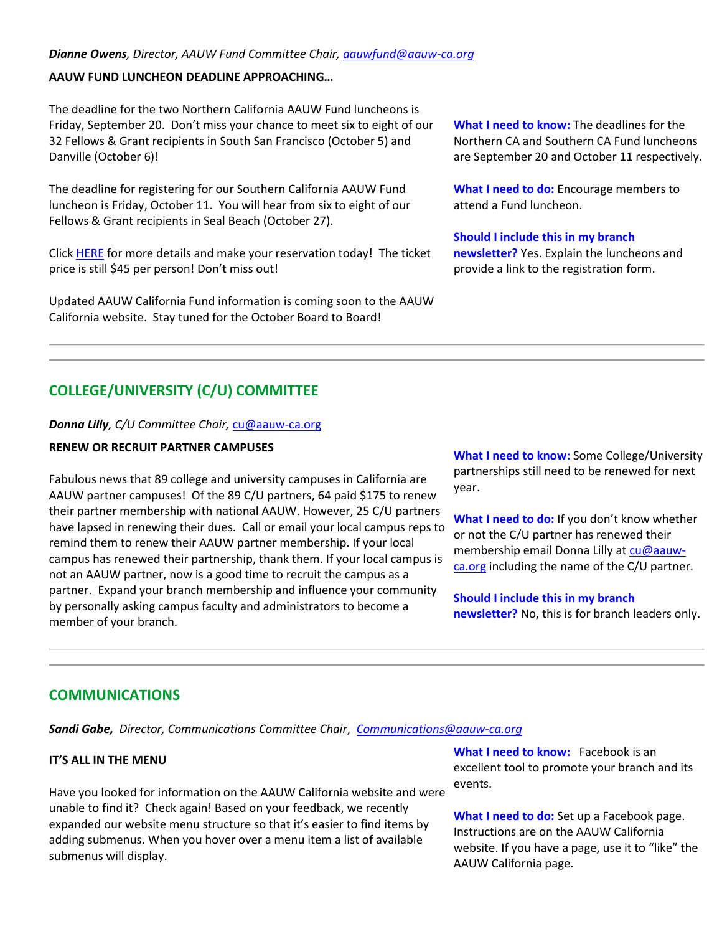## **AAUW FUND LUNCHEON DEADLINE APPROACHING…**

The deadline for the two Northern California AAUW Fund luncheons is Friday, September 20. Don't miss your chance to meet six to eight of our 32 Fellows & Grant recipients in South San Francisco (October 5) and Danville (October 6)!

The deadline for registering for our Southern California AAUW Fund luncheon is Friday, October 11. You will hear from six to eight of our Fellows & Grant recipients in Seal Beach (October 27).

Clic[k HERE](https://bor.aauw-ca.org/sendy/l/YlrJ763AeyF892b51vFm0EptRw/Z0I9DWTBtWlgZz5W8G0vjg/fyEHDZSJcBk8fwh9mQqMHQ) for more details and make your reservation today! The ticket price is still \$45 per person! Don't miss out!

Updated AAUW California Fund information is coming soon to the AAUW California website. Stay tuned for the October Board to Board!

**What I need to know:** The deadlines for the Northern CA and Southern CA Fund luncheons are September 20 and October 11 respectively.

**What I need to do:** Encourage members to attend a Fund luncheon.

#### **Should I include this in my branch**

**newsletter?** Yes. Explain the luncheons and provide a link to the registration form.

# **COLLEGE/UNIVERSITY (C/U) COMMITTEE**

#### *Donna Lilly, C/U Committee Chair,* [cu@aauw-ca.org](mailto:cu@aauw-ca.org)

### **RENEW OR RECRUIT PARTNER CAMPUSES**

Fabulous news that 89 college and university campuses in California are AAUW partner campuses! Of the 89 C/U partners, 64 paid \$175 to renew their partner membership with national AAUW. However, 25 C/U partners have lapsed in renewing their dues. Call or email your local campus reps to remind them to renew their AAUW partner membership. If your local campus has renewed their partnership, thank them. If your local campus is not an AAUW partner, now is a good time to recruit the campus as a partner. Expand your branch membership and influence your community by personally asking campus faculty and administrators to become a member of your branch.

**What I need to know:** Some College/University partnerships still need to be renewed for next year.

**What I need to do:** If you don't know whether or not the C/U partner has renewed their membership email Donna Lilly at [cu@aauw](mailto:cu@aauw-ca.org)[ca.org](mailto:cu@aauw-ca.org) including the name of the C/U partner.

**Should I include this in my branch newsletter?** No, this is for branch leaders only.

# **COMMUNICATIONS**

*Sandi Gabe, Director, Communications Committee Chair*, *[Communications@aauw-ca.org](mailto:Communications@aauw-ca.org)*

#### **IT'S ALL IN THE MENU**

Have you looked for information on the AAUW California website and were unable to find it? Check again! Based on your feedback, we recently expanded our website menu structure so that it's easier to find items by adding submenus. When you hover over a menu item a list of available submenus will display.

**What I need to know:** Facebook is an excellent tool to promote your branch and its events.

**What I need to do:** Set up a Facebook page. Instructions are on the AAUW California website. If you have a page, use it to "like" the AAUW California page.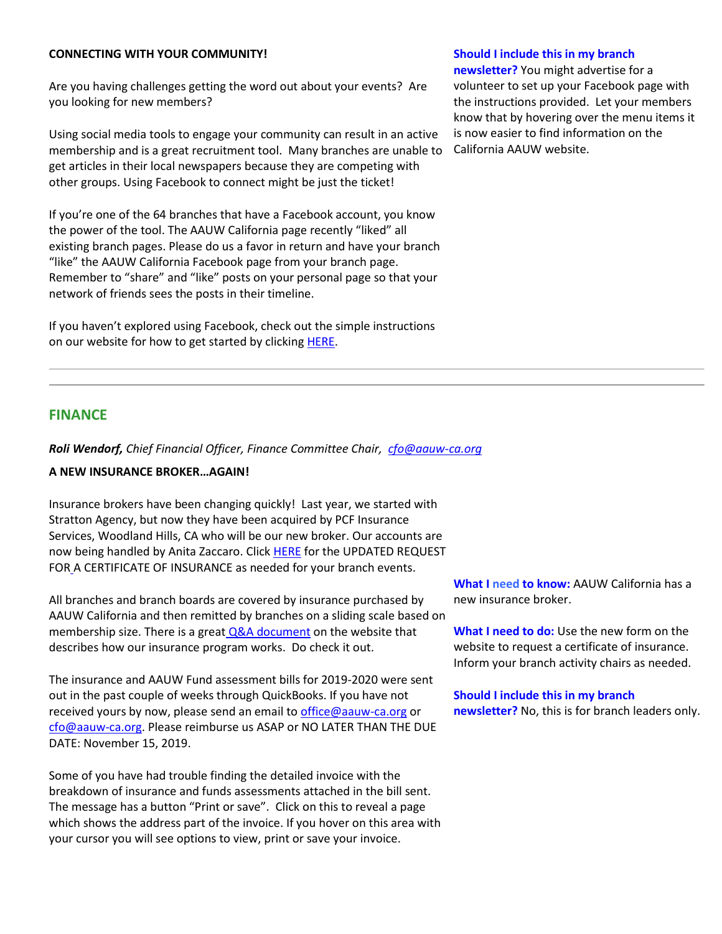### **CONNECTING WITH YOUR COMMUNITY!**

Are you having challenges getting the word out about your events? Are you looking for new members?

Using social media tools to engage your community can result in an active membership and is a great recruitment tool. Many branches are unable to get articles in their local newspapers because they are competing with other groups. Using Facebook to connect might be just the ticket!

If you're one of the 64 branches that have a Facebook account, you know the power of the tool. The AAUW California page recently "liked" all existing branch pages. Please do us a favor in return and have your branch "like" the AAUW California Facebook page from your branch page. Remember to "share" and "like" posts on your personal page so that your network of friends sees the posts in their timeline.

If you haven't explored using Facebook, check out the simple instructions on our website for how to get started by clicking [HERE.](https://bor.aauw-ca.org/sendy/l/YlrJ763AeyF892b51vFm0EptRw/2wNMFkRajEksqkQjCQJsEQ/fyEHDZSJcBk8fwh9mQqMHQ)

#### **Should I include this in my branch**

**newsletter?** You might advertise for a volunteer to set up your Facebook page with the instructions provided. Let your members know that by hovering over the menu items it is now easier to find information on the California AAUW website.

# **FINANCE**

*Roli Wendorf, Chief Financial Officer, Finance Committee Chair, [cfo@aauw-ca.org](mailto:cfo@aauw-ca.org)*

#### **A NEW INSURANCE BROKER…AGAIN!**

Insurance brokers have been changing quickly! Last year, we started with Stratton Agency, but now they have been acquired by PCF Insurance Services, Woodland Hills, CA who will be our new broker. Our accounts are now being handled by Anita Zaccaro. Click [HERE](https://bor.aauw-ca.org/sendy/l/YlrJ763AeyF892b51vFm0EptRw/IJi3D64lolDtkMGGhzgQkA/fyEHDZSJcBk8fwh9mQqMHQ) for the UPDATED REQUEST FOR [A](https://bor.aauw-ca.org/sendy/l/YlrJ763AeyF892b51vFm0EptRw/IJi3D64lolDtkMGGhzgQkA/fyEHDZSJcBk8fwh9mQqMHQ) CERTIFICATE OF INSURANCE as needed for your branch events.

All branches and branch boards are covered by insurance purchased by AAUW California and then remitted by branches on a sliding scale based on membership size. There is a great  $Q&A$  document on the website that describes how our insurance program works. Do check it out.

The insurance and AAUW Fund assessment bills for 2019-2020 were sent out in the past couple of weeks through QuickBooks. If you have not received yours by now, please send an email to [office@aauw-ca.org](mailto:office@aauw-ca.org) or [cfo@aauw-ca.org.](mailto:cfo@aauw-ca.org) Please reimburse us ASAP or NO LATER THAN THE DUE DATE: November 15, 2019.

Some of you have had trouble finding the detailed invoice with the breakdown of insurance and funds assessments attached in the bill sent. The message has a button "Print or save". Click on this to reveal a page which shows the address part of the invoice. If you hover on this area with your cursor you will see options to view, print or save your invoice.

**What I need to know:** AAUW California has a new insurance broker.

**What I need to do:** Use the new form on the website to request a certificate of insurance. Inform your branch activity chairs as needed.

**Should I include this in my branch newsletter?** No, this is for branch leaders only.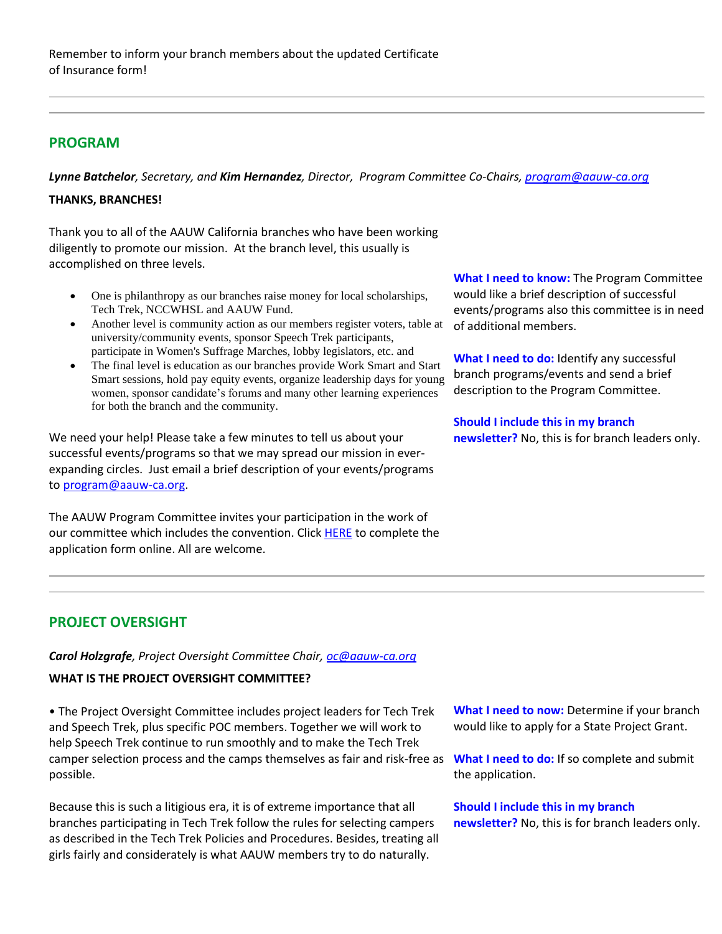# **PROGRAM**

*Lynne Batchelor, Secretary, and Kim Hernandez, Director, Program Committee Co-Chairs[, program@aauw-ca.org](mailto:program@aauw-ca.org)*

## **THANKS, BRANCHES!**

Thank you to all of the AAUW California branches who have been working diligently to promote our mission. At the branch level, this usually is accomplished on three levels.

- One is philanthropy as our branches raise money for local scholarships, Tech Trek, NCCWHSL and AAUW Fund.
- Another level is community action as our members register voters, table at university/community events, sponsor Speech Trek participants, participate in Women's Suffrage Marches, lobby legislators, etc. and
- The final level is education as our branches provide Work Smart and Start Smart sessions, hold pay equity events, organize leadership days for young women, sponsor candidate's forums and many other learning experiences for both the branch and the community.

We need your help! Please take a few minutes to tell us about your successful events/programs so that we may spread our mission in everexpanding circles. Just email a brief description of your events/programs t[o program@aauw-ca.org.](mailto:program@aauw-ca.org)

The AAUW Program Committee invites your participation in the work of our committee which includes the convention. Click [HERE](https://bor.aauw-ca.org/sendy/l/YlrJ763AeyF892b51vFm0EptRw/sK763KiWK892cFUsEFaIcJtHUg/fyEHDZSJcBk8fwh9mQqMHQ) to complete the application form online. All are welcome.

**What I need to know:** The Program Committee would like a brief description of successful events/programs also this committee is in need of additional members.

**What I need to do:** Identify any successful branch programs/events and send a brief description to the Program Committee.

**Should I include this in my branch newsletter?** No, this is for branch leaders only.

# **PROJECT OVERSIGHT**

## *Carol Holzgrafe, Project Oversight Committee Chair[, oc@aauw-ca.org](mailto:oc@aauw-ca.org)*

## **WHAT IS THE PROJECT OVERSIGHT COMMITTEE?**

• The Project Oversight Committee includes project leaders for Tech Trek and Speech Trek, plus specific POC members. Together we will work to help Speech Trek continue to run smoothly and to make the Tech Trek camper selection process and the camps themselves as fair and risk-free as possible.

Because this is such a litigious era, it is of extreme importance that all branches participating in Tech Trek follow the rules for selecting campers as described in the Tech Trek Policies and Procedures. Besides, treating all girls fairly and considerately is what AAUW members try to do naturally.

**What I need to now:** Determine if your branch would like to apply for a State Project Grant.

**What I need to do:** If so complete and submit the application.

**Should I include this in my branch newsletter?** No, this is for branch leaders only.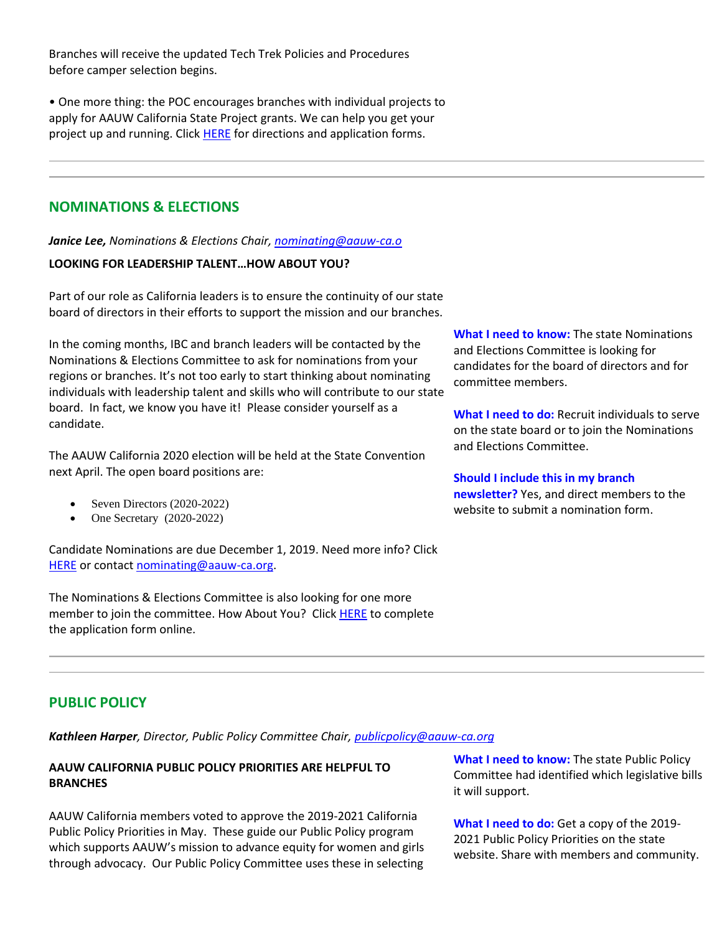Branches will receive the updated Tech Trek Policies and Procedures before camper selection begins.

• One more thing: the POC encourages branches with individual projects to apply for AAUW California State Project grants. We can help you get your project up and running. Click [HERE](https://bor.aauw-ca.org/sendy/l/YlrJ763AeyF892b51vFm0EptRw/hWsOyFz5eV96St7qJJChhw/fyEHDZSJcBk8fwh9mQqMHQ) for directions and application forms.

# **NOMINATIONS & ELECTIONS**

*Janice Lee, Nominations & Elections Chair, [nominating@aauw-ca.o](mailto:nominating@aauw-ca.org)*

# **LOOKING FOR LEADERSHIP TALENT…HOW ABOUT YOU?**

Part of our role as California leaders is to ensure the continuity of our state board of directors in their efforts to support the mission and our branches.

In the coming months, IBC and branch leaders will be contacted by the Nominations & Elections Committee to ask for nominations from your regions or branches. It's not too early to start thinking about nominating individuals with leadership talent and skills who will contribute to our state board. In fact, we know you have it! Please consider yourself as a candidate.

The AAUW California 2020 election will be held at the State Convention next April. The open board positions are:

- Seven Directors (2020-2022)
- One Secretary (2020-2022)

Candidate Nominations are due December 1, 2019. Need more info? Click [HERE](https://bor.aauw-ca.org/sendy/l/YlrJ763AeyF892b51vFm0EptRw/Fem892v6l1RFYuYBU2va60eA/fyEHDZSJcBk8fwh9mQqMHQ) or contac[t nominating@aauw-ca.org.](mailto:nominating@aauw-ca.org)

The Nominations & Elections Committee is also looking for one more member to join the committee. How About You? Click [HERE](https://bor.aauw-ca.org/sendy/l/YlrJ763AeyF892b51vFm0EptRw/sK763KiWK892cFUsEFaIcJtHUg/fyEHDZSJcBk8fwh9mQqMHQ) to complete the application form online.

**What I need to know:** The state Nominations and Elections Committee is looking for candidates for the board of directors and for committee members.

**What I need to do:** Recruit individuals to serve on the state board or to join the Nominations and Elections Committee.

## **Should I include this in my branch**

**newsletter?** Yes, and direct members to the website to submit a nomination form.

# **PUBLIC POLICY**

*Kathleen Harper, Director, Public Policy Committee Chair[, publicpolicy@aauw-ca.org](mailto:PublicPolicy@aauw-ca.org)*

# **AAUW CALIFORNIA PUBLIC POLICY PRIORITIES ARE HELPFUL TO BRANCHES**

AAUW California members voted to approve the 2019-2021 California Public Policy Priorities in May. These guide our Public Policy program which supports AAUW's mission to advance equity for women and girls through advocacy. Our Public Policy Committee uses these in selecting

**What I need to know:** The state Public Policy Committee had identified which legislative bills it will support.

**What I need to do:** Get a copy of the 2019- 2021 Public Policy Priorities on the state website. Share with members and community.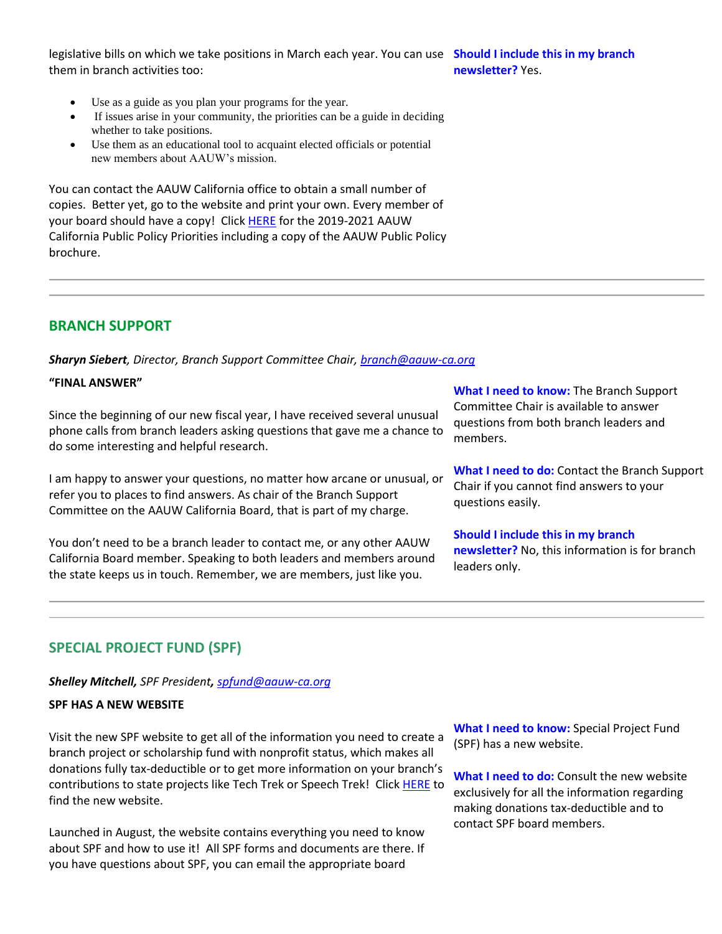legislative bills on which we take positions in March each year. You can use **Should I include this in my branch**  them in branch activities too: **newsletter?** Yes.

- Use as a guide as you plan your programs for the year.
- If issues arise in your community, the priorities can be a guide in deciding whether to take positions.
- Use them as an educational tool to acquaint elected officials or potential new members about AAUW's mission.

You can contact the AAUW California office to obtain a small number of copies. Better yet, go to the website and print your own. Every member of your board should have a copy! Clic[k HERE](https://bor.aauw-ca.org/sendy/l/YlrJ763AeyF892b51vFm0EptRw/LnR19pYUI99aeRhemBirvQ/fyEHDZSJcBk8fwh9mQqMHQ) for the 2019-2021 AAUW California Public Policy Priorities including a copy of the AAUW Public Policy brochure.

# **BRANCH SUPPORT**

*Sharyn Siebert, Director, Branch Support Committee Chair[, branch@aauw-ca.org](mailto:branch@aauw-ca.org)*

#### **"FINAL ANSWER"**

Since the beginning of our new fiscal year, I have received several unusual phone calls from branch leaders asking questions that gave me a chance to do some interesting and helpful research.

I am happy to answer your questions, no matter how arcane or unusual, or refer you to places to find answers. As chair of the Branch Support Committee on the AAUW California Board, that is part of my charge.

You don't need to be a branch leader to contact me, or any other AAUW California Board member. Speaking to both leaders and members around the state keeps us in touch. Remember, we are members, just like you.

**What I need to know:** The Branch Support Committee Chair is available to answer questions from both branch leaders and members.

**What I need to do:** Contact the Branch Support Chair if you cannot find answers to your questions easily.

**Should I include this in my branch newsletter?** No, this information is for branch leaders only.

# **SPECIAL PROJECT FUND (SPF)**

#### *Shelley Mitchell, SPF President, [spfund@aauw-ca.org](mailto:spfund@aauw-ca.org)*

#### **SPF HAS A NEW WEBSITE**

Visit the new SPF website to get all of the information you need to create a branch project or scholarship fund with nonprofit status, which makes all donations fully tax-deductible or to get more information on your branch's contributions to state projects like Tech Trek or Speech Trek! Clic[k HERE](https://bor.aauw-ca.org/sendy/l/YlrJ763AeyF892b51vFm0EptRw/QyozTVMJzG8fB46krfqLqA/fyEHDZSJcBk8fwh9mQqMHQ) to find the new website.

Launched in August, the website contains everything you need to know about SPF and how to use it! All SPF forms and documents are there. If you have questions about SPF, you can email the appropriate board

**What I need to know:** Special Project Fund (SPF) has a new website.

**What I need to do:** Consult the new website exclusively for all the information regarding making donations tax-deductible and to contact SPF board members.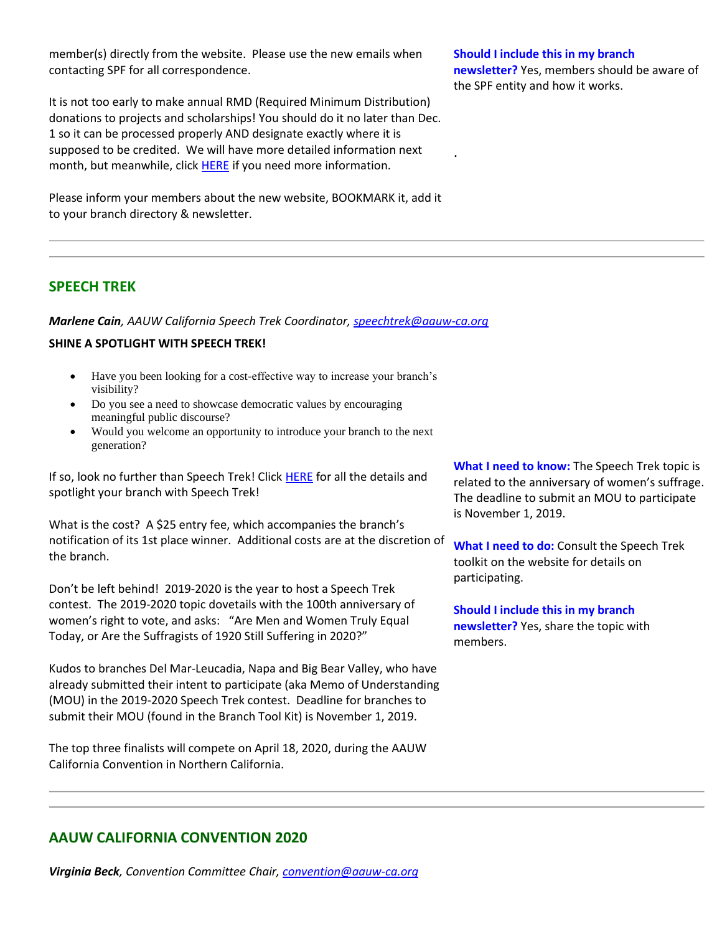member(s) directly from the website. Please use the new emails when contacting SPF for all correspondence.

It is not too early to make annual RMD (Required Minimum Distribution) donations to projects and scholarships! You should do it no later than Dec. 1 so it can be processed properly AND designate exactly where it is supposed to be credited. We will have more detailed information next month, but meanwhile, click **HERE** if you need more information.

Please inform your members about the new website, BOOKMARK it, add it to your branch directory & newsletter.

#### **Should I include this in my branch**

.

**newsletter?** Yes, members should be aware of the SPF entity and how it works.

# **SPEECH TREK**

*Marlene Cain, AAUW California Speech Trek Coordinator, [speechtrek@aauw-ca.org](mailto:speechtrek@aauw-ca.org)*

## **SHINE A SPOTLIGHT WITH SPEECH TREK!**

- Have you been looking for a cost-effective way to increase your branch's visibility?
- Do you see a need to showcase democratic values by encouraging meaningful public discourse?
- Would you welcome an opportunity to introduce your branch to the next generation?

If so, look no further than Speech Trek! Click [HERE](https://bor.aauw-ca.org/sendy/l/YlrJ763AeyF892b51vFm0EptRw/QL763pvD8nedpF6oTsGBdDHA/fyEHDZSJcBk8fwh9mQqMHQ) for all the details and spotlight your branch with Speech Trek!

What is the cost? A \$25 entry fee, which accompanies the branch's notification of its 1st place winner. Additional costs are at the discretion of the branch.

Don't be left behind! 2019-2020 is the year to host a Speech Trek contest. The 2019-2020 topic dovetails with the 100th anniversary of women's right to vote, and asks: "Are Men and Women Truly Equal Today, or Are the Suffragists of 1920 Still Suffering in 2020?"

Kudos to branches Del Mar-Leucadia, Napa and Big Bear Valley, who have already submitted their intent to participate (aka Memo of Understanding (MOU) in the 2019-2020 Speech Trek contest. Deadline for branches to submit their MOU (found in the Branch Tool Kit) is November 1, 2019.

The top three finalists will compete on April 18, 2020, during the AAUW California Convention in Northern California.

**What I need to know:** The Speech Trek topic is related to the anniversary of women's suffrage. The deadline to submit an MOU to participate is November 1, 2019.

**What I need to do:** Consult the Speech Trek toolkit on the website for details on participating.

**Should I include this in my branch newsletter?** Yes, share the topic with members.

# **AAUW CALIFORNIA CONVENTION 2020**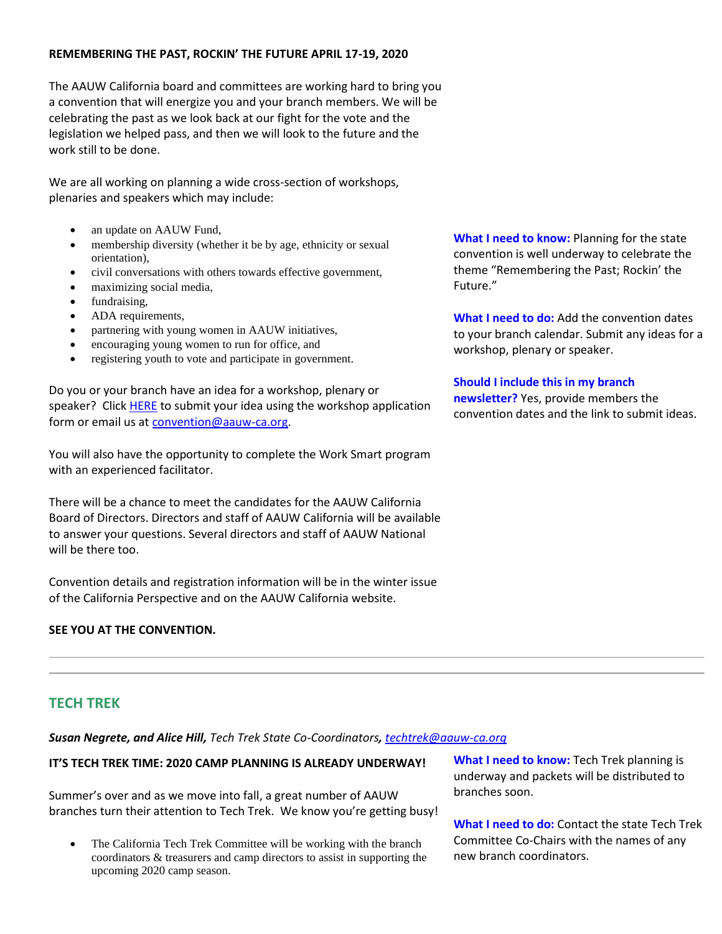## **REMEMBERING THE PAST, ROCKIN' THE FUTURE APRIL 17-19, 2020**

The AAUW California board and committees are working hard to bring you a convention that will energize you and your branch members. We will be celebrating the past as we look back at our fight for the vote and the legislation we helped pass, and then we will look to the future and the work still to be done.

We are all working on planning a wide cross-section of workshops, plenaries and speakers which may include:

- an update on AAUW Fund,
- membership diversity (whether it be by age, ethnicity or sexual orientation),
- civil conversations with others towards effective government,
- maximizing social media,
- fundraising,
- ADA requirements,
- partnering with young women in AAUW initiatives,
- encouraging young women to run for office, and
- registering youth to vote and participate in government.

Do you or your branch have an idea for a workshop, plenary or speaker? Click [HERE](https://bor.aauw-ca.org/sendy/l/YlrJ763AeyF892b51vFm0EptRw/wFxVqE2lvilNEp7EjSPaIA/fyEHDZSJcBk8fwh9mQqMHQ) to submit your idea using the workshop application form or email us at [convention@aauw-ca.org.](mailto:convention@aauw-ca.org)

You will also have the opportunity to complete the Work Smart program with an experienced facilitator.

There will be a chance to meet the candidates for the AAUW California Board of Directors. Directors and staff of AAUW California will be available to answer your questions. Several directors and staff of AAUW National will be there too.

Convention details and registration information will be in the winter issue of the California Perspective and on the AAUW California website.

## **SEE YOU AT THE CONVENTION.**

**What I need to know:** Planning for the state convention is well underway to celebrate the theme "Remembering the Past; Rockin' the Future."

**What I need to do:** Add the convention dates to your branch calendar. Submit any ideas for a workshop, plenary or speaker.

## **Should I include this in my branch**

**newsletter?** Yes, provide members the convention dates and the link to submit ideas.

# **TECH TREK**

*Susan Negrete, and Alice Hill, Tech Trek State Co-Coordinators, [techtrek@aauw-ca.org](mailto:techtrek@aauw-ca.org)*

## **IT'S TECH TREK TIME: 2020 CAMP PLANNING IS ALREADY UNDERWAY!**

Summer's over and as we move into fall, a great number of AAUW branches turn their attention to Tech Trek. We know you're getting busy!

• The California Tech Trek Committee will be working with the branch coordinators & treasurers and camp directors to assist in supporting the upcoming 2020 camp season.

**What I need to know:** Tech Trek planning is underway and packets will be distributed to branches soon.

**What I need to do:** Contact the state Tech Trek Committee Co-Chairs with the names of any new branch coordinators.